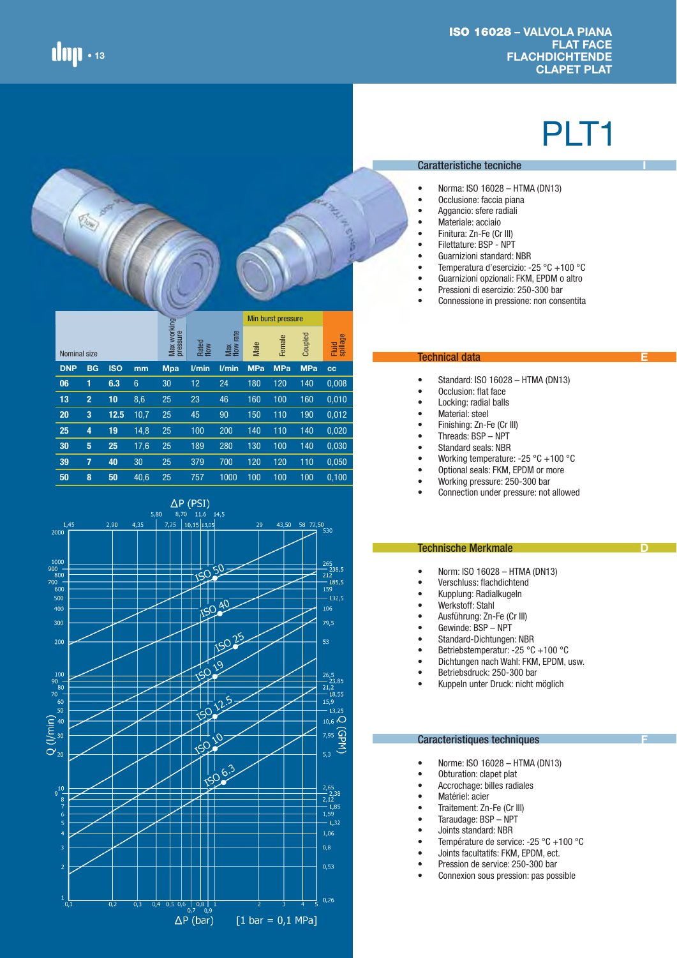险

# PLT1

**I**

**E**

**D**



- Norma: ISO 16028 HTMA (DN13)
- Occlusione: faccia piana
- Aggancio: sfere radiali
- Materiale: acciaio
- Finitura: Zn-Fe (Cr III)
- Filettature: BSP NPT
- Guarnizioni standard: NBR
- Temperatura d'esercizio: -25 °C +100 °C
- Guarnizioni opzionali: FKM, EPDM o altro
- Pressioni di esercizio: 250-300 bar
- Connessione in pressione: non consentita

|              |                |            |                 |                         |               |                     |            | Min burst pressure |            |                   |
|--------------|----------------|------------|-----------------|-------------------------|---------------|---------------------|------------|--------------------|------------|-------------------|
| Nominal size |                |            |                 | Max working<br>pressure | Rated<br>flow | rate<br>Max<br>flow | Male       | Female             | Coupled    | Fluid<br>spillage |
| <b>DNP</b>   | <b>BG</b>      | <b>ISO</b> | mm              | <b>Mpa</b>              | l/min         | $V$ min             | <b>MPa</b> | <b>MPa</b>         | <b>MPa</b> | $_{\rm cc}$       |
| 06           | 1              | 6.3        | $6\phantom{1}6$ | 30                      | 12            | 24                  | 180        | 120                | 140        | 0,008             |
| 13           | $\overline{2}$ | 10         | 8,6             | 25                      | 23            | 46                  | 160        | 100                | 160        | 0,010             |
| 20           | 3              | 12.5       | 10,7            | 25                      | 45            | 90                  | 150        | 110                | 190        | 0,012             |
| 25           | 4              | 19         | 14,8            | 25                      | 100           | 200                 | 140        | 110                | 140        | 0,020             |
| 30           | 5              | 25         | 17,6            | 25                      | 189           | 280                 | 130        | 100                | 140        | 0,030             |
| 39           | 7              | 40         | 30              | 25                      | 379           | 700                 | 120        | 120                | 110        | 0,050             |
| 50           | 8              | 50         | 40.6            | 25                      | 757           | 1000                | 100        | 100                | 100        | 0.100             |



#### Technical data

- Standard: ISO 16028 HTMA (DN13)
- Occlusion: flat face<br>• Locking: radial balls
- Locking: radial balls
- Material: steel
- Finishing: Zn-Fe (Cr III)
- Threads: BSP NPT
- Standard seals: NBR
- Working temperature: -25 °C +100 °C
- Optional seals: FKM, EPDM or more
- Working pressure: 250-300 bar
- Connection under pressure: not allowed

#### Technische Merkmale

- Norm: ISO 16028 HTMA (DN13)
- Verschluss: flachdichtend
- Kupplung: Radialkugeln
- Werkstoff: Stahl
- Ausführung: Zn-Fe (Cr III)
- Gewinde: BSP NPT
- Standard-Dichtungen: NBR
- Betriebstemperatur: -25 °C +100 °C
- Dichtungen nach Wahl: FKM, EPDM, usw.
- Betriebsdruck: 250-300 bar
- Kuppeln unter Druck: nicht möglich

### Caracteristiques techniques

- Norme: ISO 16028 HTMA (DN13)
- Obturation: clapet plat
- Accrochage: billes radiales
- Matériel: acier
- Traitement: Zn-Fe (Cr III)<br>• Taraudage: RSP NPT
- Taraudage: BSP NPT
- Joints standard: NBR
- Température de service: -25 °C +100 °C
- Joints facultatifs: FKM, EPDM, ect.
- Pression de service: 250-300 bar
- Connexion sous pression: pas possible

**F**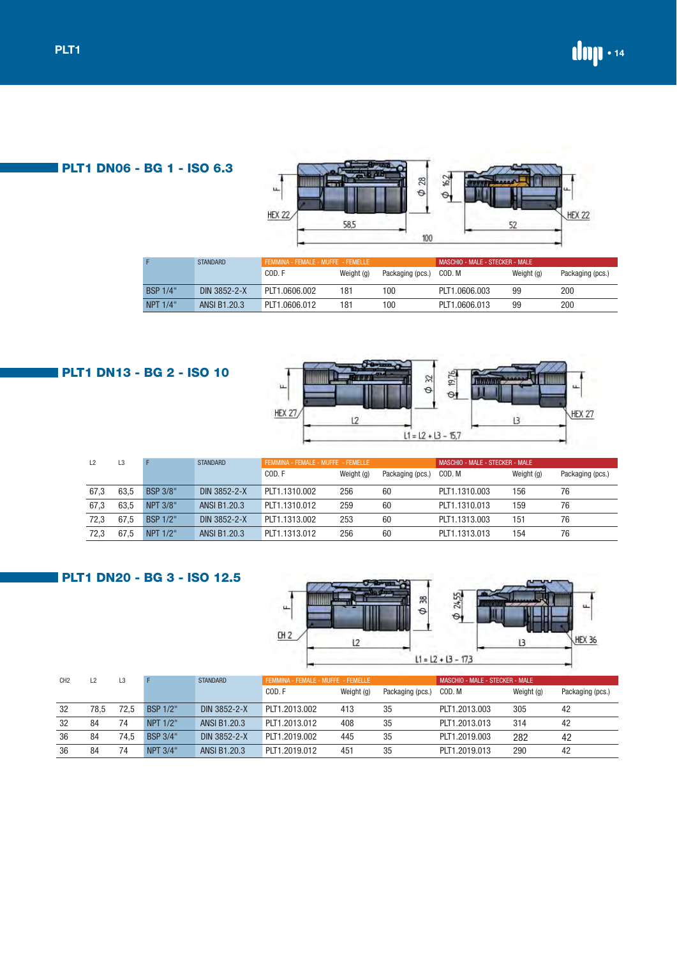**PLT1 DN06 - BG 1 - ISO 6.3**



|                 | <b>STANDARD</b> | FEMMINA - FEMALE - MUFFE - FEMELLE |            |                  | MASCHIO - MALE - STECKER - MALE |            |                  |  |
|-----------------|-----------------|------------------------------------|------------|------------------|---------------------------------|------------|------------------|--|
|                 |                 | COD.F                              | Weight (g) | Packaging (pcs.) | COD. M                          | Weight (g) | Packaging (pcs.) |  |
| <b>BSP 1/4"</b> | DIN 3852-2-X    | PLT1.0606.002                      | 181        | 100              | PLT1.0606.003                   | 99         | 200              |  |
| NPT 1/4"        | ANSI B1.20.3    | PLT1.0606.012                      | 181        | 100              | PLT1.0606.013                   | 99         | 200              |  |

# **PLT1 DN13 - BG 2 - ISO 10**



| L2   | L3   |                 | <b>STANDARD</b> | FEMMINA - FEMALE - MUFFE - FEMELLE |            |                  | MASCHIO - MALE - STECKER - MALE |            |                  |  |
|------|------|-----------------|-----------------|------------------------------------|------------|------------------|---------------------------------|------------|------------------|--|
|      |      |                 |                 | COD.F                              | Weight (g) | Packaging (pcs.) | COD. M                          | Weight (g) | Packaging (pcs.) |  |
| 67,3 | 63.5 | <b>BSP 3/8"</b> | DIN 3852-2-X    | PLT1.1310.002                      | 256        | 60               | PLT1.1310.003                   | 156        | 76               |  |
| 67,3 | 63.5 | <b>NPT 3/8"</b> | ANSI B1.20.3    | PLT1.1310.012                      | 259        | 60               | PLT1.1310.013                   | 159        | 76               |  |
| 72,3 | 67.5 | <b>BSP 1/2"</b> | DIN 3852-2-X    | PLT1.1313.002                      | 253        | 60               | PLT1.1313.003                   | 151        | 76               |  |
| 72.3 | 67.5 | NPT 1/2"        | ANSI B1.20.3    | PLT1.1313.012                      | 256        | 60               | PLT1.1313.013                   | 154        | 76               |  |

# **PLT1 DN20 - BG 3 - ISO 12.5**



| CH <sub>2</sub> |      | L3   |          | <b>STANDARD</b> | FEMMINA - FEMALE - MUFFE - FEMELLE |            |                  | MASCHIO - MALE - STECKER - MALE |            |                  |
|-----------------|------|------|----------|-----------------|------------------------------------|------------|------------------|---------------------------------|------------|------------------|
|                 |      |      |          |                 | COD.F                              | Weight (g) | Packaging (pcs.) | COD. M                          | Weight (g) | Packaging (pcs.) |
| -32             | 78.5 | 72.5 | BSP 1/2" | DIN 3852-2-X    | PLT1.2013.002                      | 413        | 35               | PLT1.2013.003                   | 305        | 42               |
| 32              | 84   | 74   | NPT 1/2" | ANSI B1.20.3    | PLT1.2013.012                      | 408        | 35               | PLT1.2013.013                   | 314        | 42               |
| 36              | 84   | 74.5 | BSP 3/4" | DIN 3852-2-X    | PLT1.2019.002                      | 445        | 35               | PLT1.2019.003                   | 282        | 42               |
| 36              | 84   | 74   | NPT 3/4" | ANSI B1.20.3    | PLT1.2019.012                      | 451        | 35               | PLT1.2019.013                   | 290        | 42               |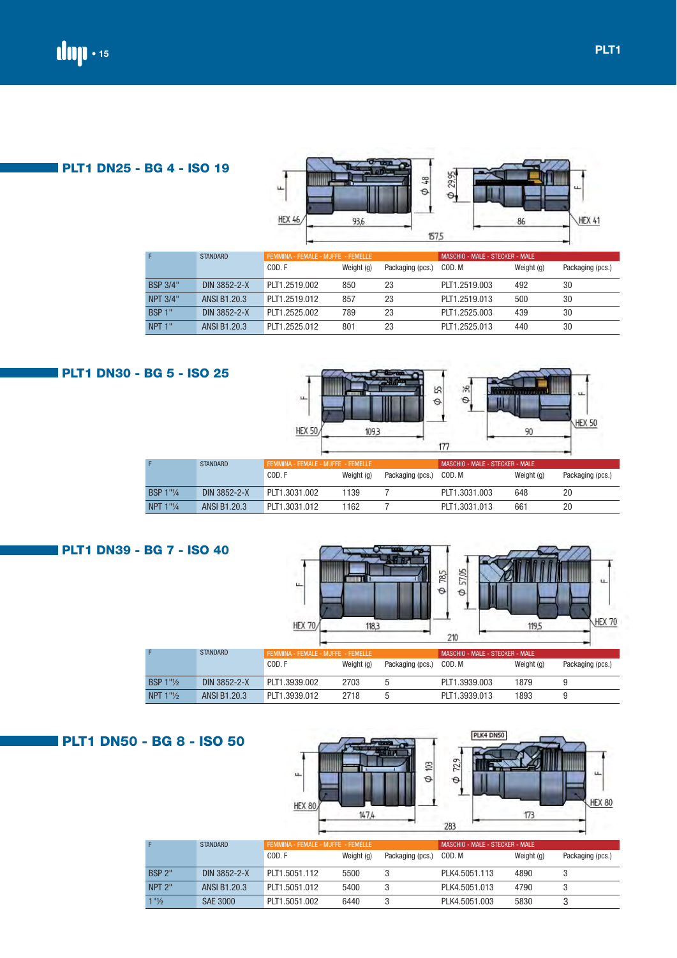|                 |                     | HEX 46                             | 93,6       | 157,5            |                                 | -86        | HEX 41           |
|-----------------|---------------------|------------------------------------|------------|------------------|---------------------------------|------------|------------------|
| F               | <b>STANDARD</b>     | FEMMINA - FEMALE - MUFFE - FEMELLE |            |                  | MASCHIO - MALE - STECKER - MALE |            |                  |
|                 |                     | COD.F                              | Weight (g) | Packaging (pcs.) | COD. M                          | Weight (g) | Packaging (pcs.) |
| <b>BSP 3/4"</b> | DIN 3852-2-X        | PLT1.2519.002                      | 850        | 23               | PLT1.2519.003                   | 492        | 30               |
| <b>NPT 3/4"</b> | <b>ANSI B1.20.3</b> | PLT1.2519.012                      | 857        | 23               | PLT1.2519.013                   | 500        | 30               |
| <b>BSP 1"</b>   | DIN 3852-2-X        | PLT1.2525.002                      | 789        | 23               | PLT1.2525.003                   | 439        | 30               |

29,95

 $\phi$  48

| <b>PLT1 DN30 - BG 5 - ISO 25</b> |                       |                 | ш.<br><b>HEX 50</b>                | 109,3      | <b>Control Property</b> | 위<br>55<br>$\Theta$<br>$\Theta$<br>177 | 111729211  | u.<br><b>HEX 50</b> |
|----------------------------------|-----------------------|-----------------|------------------------------------|------------|-------------------------|----------------------------------------|------------|---------------------|
|                                  |                       | <b>STANDARD</b> | FEMMINA - FEMALE - MUFFE - FEMELLE |            |                         | MASCHIO - MALE - STECKER - MALE        |            |                     |
|                                  |                       |                 | COD.F                              | Weight (g) | Packaging (pcs.)        | COD. M                                 | Weight (g) | Packaging (pcs.)    |
|                                  | <b>BSP 1"1/4</b>      | DIN 3852-2-X    | PLT1.3031.002                      | 1139       |                         | PLT1.3031.003                          | 648        | 20                  |
|                                  | NPT $1"$ <sup>1</sup> | ANSI B1.20.3    | PLT1.3031.012                      | 1162       |                         | PLT1.3031.013                          | 661        | 20                  |

NPT 1" ANSI B1.20.3 PLT1.2525.012 801 23 PLT1.2525.013 440 30



# **PLT1 DN50 - BG 8 - ISO 50**

|                                  |                 |                                    | 147.4      |                  | 283                             | 173        |                  |
|----------------------------------|-----------------|------------------------------------|------------|------------------|---------------------------------|------------|------------------|
|                                  | <b>STANDARD</b> | FEMMINA - FEMALE - MUFFE - FEMELLE |            |                  | MASCHIO - MALE - STECKER - MALE |            |                  |
|                                  |                 | COD.F                              | Weight (g) | Packaging (pcs.) | COD. M                          | Weight (g) | Packaging (pcs.) |
| <b>BSP 2"</b>                    | DIN 3852-2-X    | PLT1.5051.112                      | 5500       |                  | PLK4.5051.113                   | 4890       |                  |
| NPT <sub>2"</sub>                | ANSI B1.20.3    | PLT1.5051.012                      | 5400       |                  | PLK4.5051.013                   | 4790       |                  |
| $1"$ <sup>1</sup> / <sub>2</sub> | <b>SAE 3000</b> | PLT1.5051.002                      | 6440       |                  | PLK4.5051.003                   | 5830       |                  |

HEX 80

PLK4 DN50

ü.

HEX 80

 $729$ 

 $\Theta$ 

 $\phi$  103

**PLT1 DN25 - BG 4 - ISO 19**